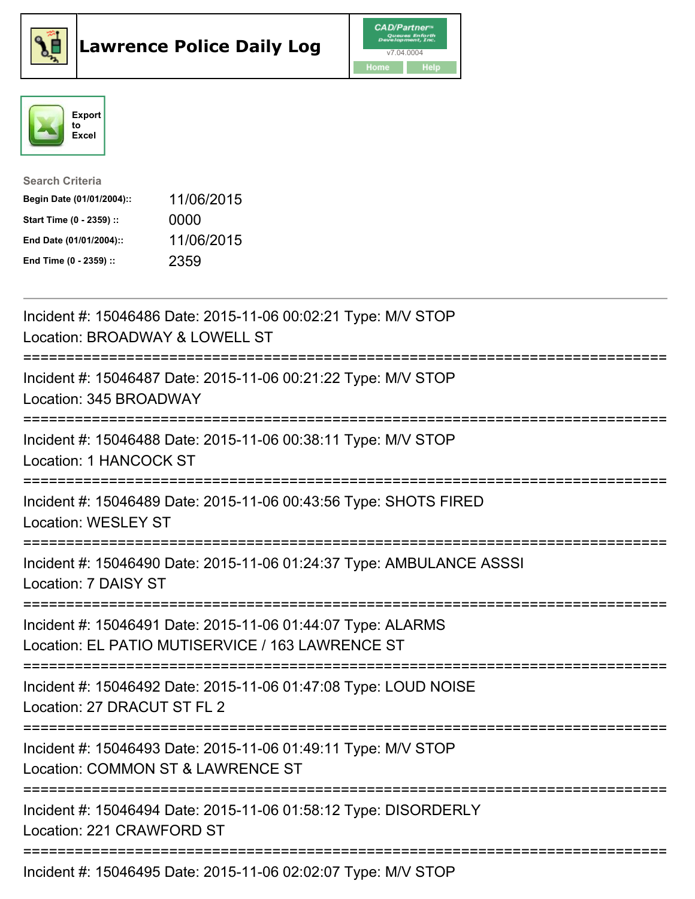





| <b>Search Criteria</b>    |            |
|---------------------------|------------|
| Begin Date (01/01/2004):: | 11/06/2015 |
| Start Time (0 - 2359) ::  | 0000       |
| End Date (01/01/2004)::   | 11/06/2015 |
| End Time (0 - 2359) ::    | 2359       |

| Incident #: 15046486 Date: 2015-11-06 00:02:21 Type: M/V STOP<br>Location: BROADWAY & LOWELL ST<br>-------------                                         |
|----------------------------------------------------------------------------------------------------------------------------------------------------------|
| Incident #: 15046487 Date: 2015-11-06 00:21:22 Type: M/V STOP<br>Location: 345 BROADWAY<br>================                                              |
| Incident #: 15046488 Date: 2015-11-06 00:38:11 Type: M/V STOP<br><b>Location: 1 HANCOCK ST</b><br>=================                                      |
| Incident #: 15046489 Date: 2015-11-06 00:43:56 Type: SHOTS FIRED<br><b>Location: WESLEY ST</b>                                                           |
| Incident #: 15046490 Date: 2015-11-06 01:24:37 Type: AMBULANCE ASSSI<br>Location: 7 DAISY ST                                                             |
| Incident #: 15046491 Date: 2015-11-06 01:44:07 Type: ALARMS<br>Location: EL PATIO MUTISERVICE / 163 LAWRENCE ST<br>===================================== |
| Incident #: 15046492 Date: 2015-11-06 01:47:08 Type: LOUD NOISE<br>Location: 27 DRACUT ST FL 2                                                           |
| Incident #: 15046493 Date: 2015-11-06 01:49:11 Type: M/V STOP<br>Location: COMMON ST & LAWRENCE ST<br>==============================                     |
| Incident #: 15046494 Date: 2015-11-06 01:58:12 Type: DISORDERLY<br>Location: 221 CRAWFORD ST                                                             |
| Incident #: 15046495 Date: 2015-11-06 02:02:07 Type: M/V STOP                                                                                            |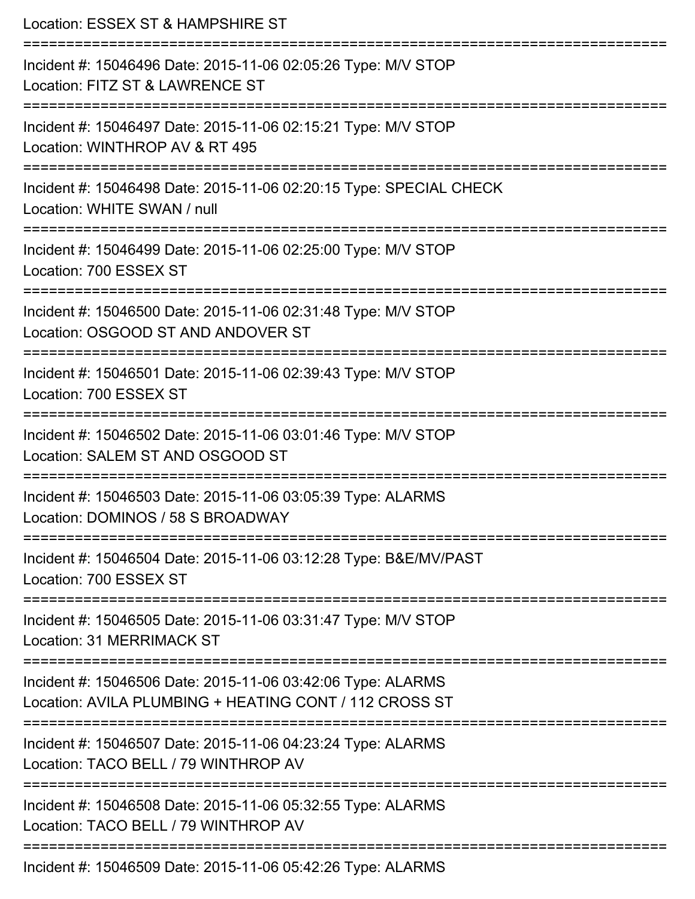| Location: ESSEX ST & HAMPSHIRE ST                                                                                                           |
|---------------------------------------------------------------------------------------------------------------------------------------------|
| Incident #: 15046496 Date: 2015-11-06 02:05:26 Type: M/V STOP<br>Location: FITZ ST & LAWRENCE ST                                            |
| Incident #: 15046497 Date: 2015-11-06 02:15:21 Type: M/V STOP<br>Location: WINTHROP AV & RT 495                                             |
| Incident #: 15046498 Date: 2015-11-06 02:20:15 Type: SPECIAL CHECK<br>Location: WHITE SWAN / null                                           |
| ===========================<br>Incident #: 15046499 Date: 2015-11-06 02:25:00 Type: M/V STOP<br>Location: 700 ESSEX ST                      |
| Incident #: 15046500 Date: 2015-11-06 02:31:48 Type: M/V STOP<br>Location: OSGOOD ST AND ANDOVER ST<br>==================================== |
| Incident #: 15046501 Date: 2015-11-06 02:39:43 Type: M/V STOP<br>Location: 700 ESSEX ST                                                     |
| Incident #: 15046502 Date: 2015-11-06 03:01:46 Type: M/V STOP<br>Location: SALEM ST AND OSGOOD ST                                           |
| Incident #: 15046503 Date: 2015-11-06 03:05:39 Type: ALARMS<br>Location: DOMINOS / 58 S BROADWAY                                            |
| Incident #: 15046504 Date: 2015-11-06 03:12:28 Type: B&E/MV/PAST<br>Location: 700 ESSEX ST                                                  |
| Incident #: 15046505 Date: 2015-11-06 03:31:47 Type: M/V STOP<br>Location: 31 MERRIMACK ST                                                  |
| Incident #: 15046506 Date: 2015-11-06 03:42:06 Type: ALARMS<br>Location: AVILA PLUMBING + HEATING CONT / 112 CROSS ST                       |
| Incident #: 15046507 Date: 2015-11-06 04:23:24 Type: ALARMS<br>Location: TACO BELL / 79 WINTHROP AV                                         |
| Incident #: 15046508 Date: 2015-11-06 05:32:55 Type: ALARMS<br>Location: TACO BELL / 79 WINTHROP AV                                         |
| Incident #: 15046509 Date: 2015-11-06 05:42:26 Type: ALARMS                                                                                 |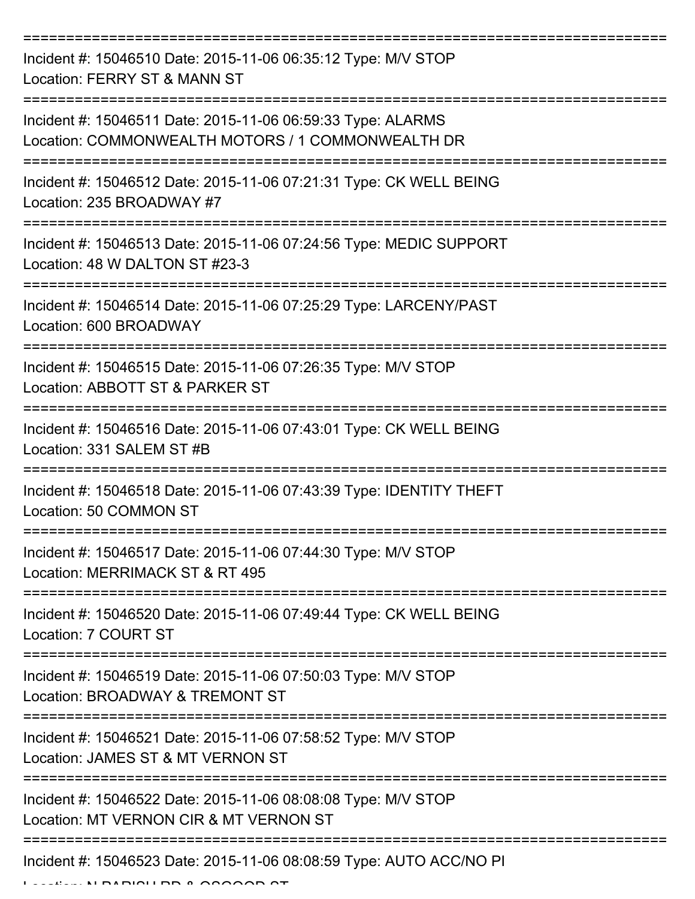| Incident #: 15046510 Date: 2015-11-06 06:35:12 Type: M/V STOP<br>Location: FERRY ST & MANN ST                    |
|------------------------------------------------------------------------------------------------------------------|
| Incident #: 15046511 Date: 2015-11-06 06:59:33 Type: ALARMS<br>Location: COMMONWEALTH MOTORS / 1 COMMONWEALTH DR |
| Incident #: 15046512 Date: 2015-11-06 07:21:31 Type: CK WELL BEING<br>Location: 235 BROADWAY #7                  |
| Incident #: 15046513 Date: 2015-11-06 07:24:56 Type: MEDIC SUPPORT<br>Location: 48 W DALTON ST #23-3             |
| Incident #: 15046514 Date: 2015-11-06 07:25:29 Type: LARCENY/PAST<br>Location: 600 BROADWAY                      |
| Incident #: 15046515 Date: 2015-11-06 07:26:35 Type: M/V STOP<br>Location: ABBOTT ST & PARKER ST                 |
| Incident #: 15046516 Date: 2015-11-06 07:43:01 Type: CK WELL BEING<br>Location: 331 SALEM ST #B                  |
| Incident #: 15046518 Date: 2015-11-06 07:43:39 Type: IDENTITY THEFT<br>Location: 50 COMMON ST                    |
| Incident #: 15046517 Date: 2015-11-06 07:44:30 Type: M/V STOP<br>Location: MERRIMACK ST & RT 495                 |
| Incident #: 15046520 Date: 2015-11-06 07:49:44 Type: CK WELL BEING<br>Location: 7 COURT ST                       |
| Incident #: 15046519 Date: 2015-11-06 07:50:03 Type: M/V STOP<br>Location: BROADWAY & TREMONT ST                 |
| Incident #: 15046521 Date: 2015-11-06 07:58:52 Type: M/V STOP<br>Location: JAMES ST & MT VERNON ST               |
| Incident #: 15046522 Date: 2015-11-06 08:08:08 Type: M/V STOP<br>Location: MT VERNON CIR & MT VERNON ST          |
| Incident #: 15046523 Date: 2015-11-06 08:08:59 Type: AUTO ACC/NO PI                                              |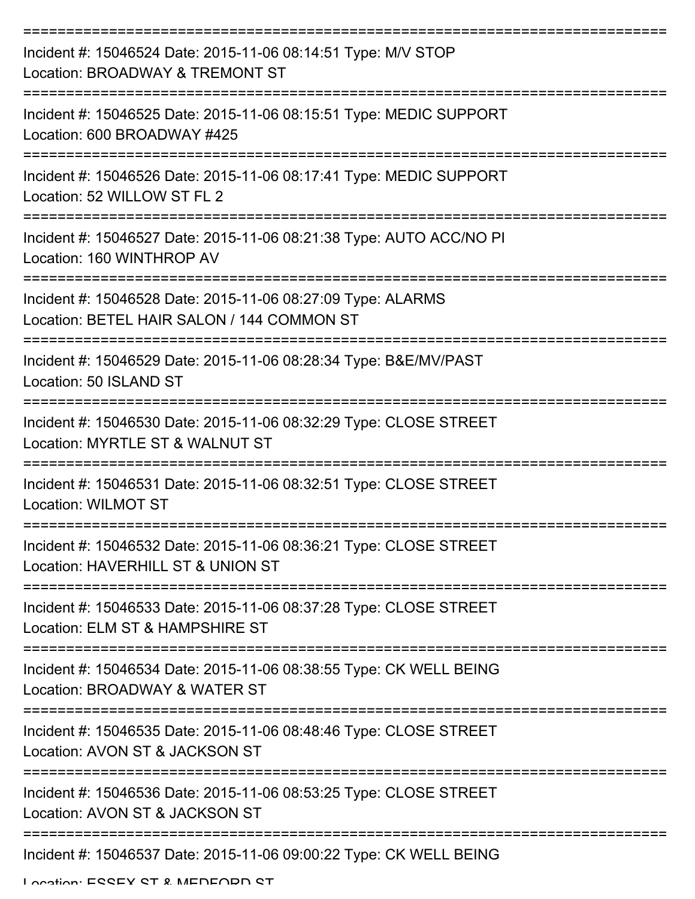| Incident #: 15046524 Date: 2015-11-06 08:14:51 Type: M/V STOP<br>Location: BROADWAY & TREMONT ST                    |
|---------------------------------------------------------------------------------------------------------------------|
| Incident #: 15046525 Date: 2015-11-06 08:15:51 Type: MEDIC SUPPORT<br>Location: 600 BROADWAY #425                   |
| Incident #: 15046526 Date: 2015-11-06 08:17:41 Type: MEDIC SUPPORT<br>Location: 52 WILLOW ST FL 2                   |
| Incident #: 15046527 Date: 2015-11-06 08:21:38 Type: AUTO ACC/NO PI<br>Location: 160 WINTHROP AV                    |
| Incident #: 15046528 Date: 2015-11-06 08:27:09 Type: ALARMS<br>Location: BETEL HAIR SALON / 144 COMMON ST           |
| Incident #: 15046529 Date: 2015-11-06 08:28:34 Type: B&E/MV/PAST<br>Location: 50 ISLAND ST<br>--------------------- |
| Incident #: 15046530 Date: 2015-11-06 08:32:29 Type: CLOSE STREET<br>Location: MYRTLE ST & WALNUT ST                |
| Incident #: 15046531 Date: 2015-11-06 08:32:51 Type: CLOSE STREET<br>Location: WILMOT ST                            |
| Incident #: 15046532 Date: 2015-11-06 08:36:21 Type: CLOSE STREET<br>Location: HAVERHILL ST & UNION ST              |
| Incident #: 15046533 Date: 2015-11-06 08:37:28 Type: CLOSE STREET<br>Location: ELM ST & HAMPSHIRE ST                |
| Incident #: 15046534 Date: 2015-11-06 08:38:55 Type: CK WELL BEING<br>Location: BROADWAY & WATER ST                 |
| Incident #: 15046535 Date: 2015-11-06 08:48:46 Type: CLOSE STREET<br>Location: AVON ST & JACKSON ST                 |
| Incident #: 15046536 Date: 2015-11-06 08:53:25 Type: CLOSE STREET<br>Location: AVON ST & JACKSON ST                 |
| Incident #: 15046537 Date: 2015-11-06 09:00:22 Type: CK WELL BEING                                                  |

Location: ESSEY ST & MEDEODD ST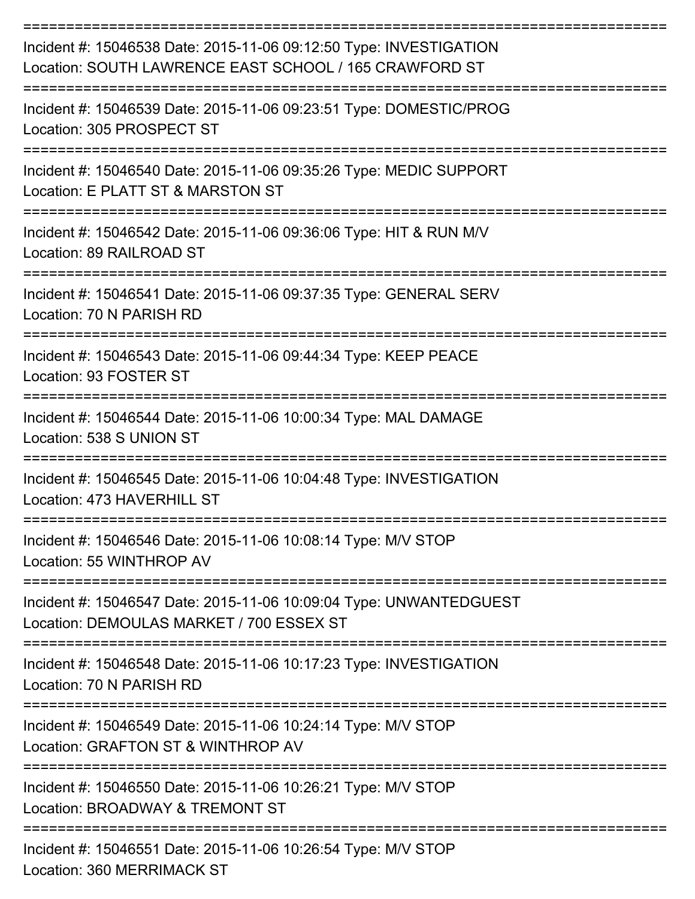| Incident #: 15046538 Date: 2015-11-06 09:12:50 Type: INVESTIGATION<br>Location: SOUTH LAWRENCE EAST SCHOOL / 165 CRAWFORD ST |
|------------------------------------------------------------------------------------------------------------------------------|
| Incident #: 15046539 Date: 2015-11-06 09:23:51 Type: DOMESTIC/PROG<br>Location: 305 PROSPECT ST                              |
| Incident #: 15046540 Date: 2015-11-06 09:35:26 Type: MEDIC SUPPORT<br>Location: E PLATT ST & MARSTON ST                      |
| Incident #: 15046542 Date: 2015-11-06 09:36:06 Type: HIT & RUN M/V<br>Location: 89 RAILROAD ST                               |
| Incident #: 15046541 Date: 2015-11-06 09:37:35 Type: GENERAL SERV<br>Location: 70 N PARISH RD                                |
| Incident #: 15046543 Date: 2015-11-06 09:44:34 Type: KEEP PEACE<br>Location: 93 FOSTER ST                                    |
| Incident #: 15046544 Date: 2015-11-06 10:00:34 Type: MAL DAMAGE<br>Location: 538 S UNION ST                                  |
| Incident #: 15046545 Date: 2015-11-06 10:04:48 Type: INVESTIGATION<br>Location: 473 HAVERHILL ST                             |
| Incident #: 15046546 Date: 2015-11-06 10:08:14 Type: M/V STOP<br>Location: 55 WINTHROP AV                                    |
| Incident #: 15046547 Date: 2015-11-06 10:09:04 Type: UNWANTEDGUEST<br>Location: DEMOULAS MARKET / 700 ESSEX ST               |
| Incident #: 15046548 Date: 2015-11-06 10:17:23 Type: INVESTIGATION<br>Location: 70 N PARISH RD                               |
| Incident #: 15046549 Date: 2015-11-06 10:24:14 Type: M/V STOP<br>Location: GRAFTON ST & WINTHROP AV                          |
| Incident #: 15046550 Date: 2015-11-06 10:26:21 Type: M/V STOP<br>Location: BROADWAY & TREMONT ST                             |
| Incident #: 15046551 Date: 2015-11-06 10:26:54 Type: M/V STOP                                                                |

Location: 360 MERRIMACK ST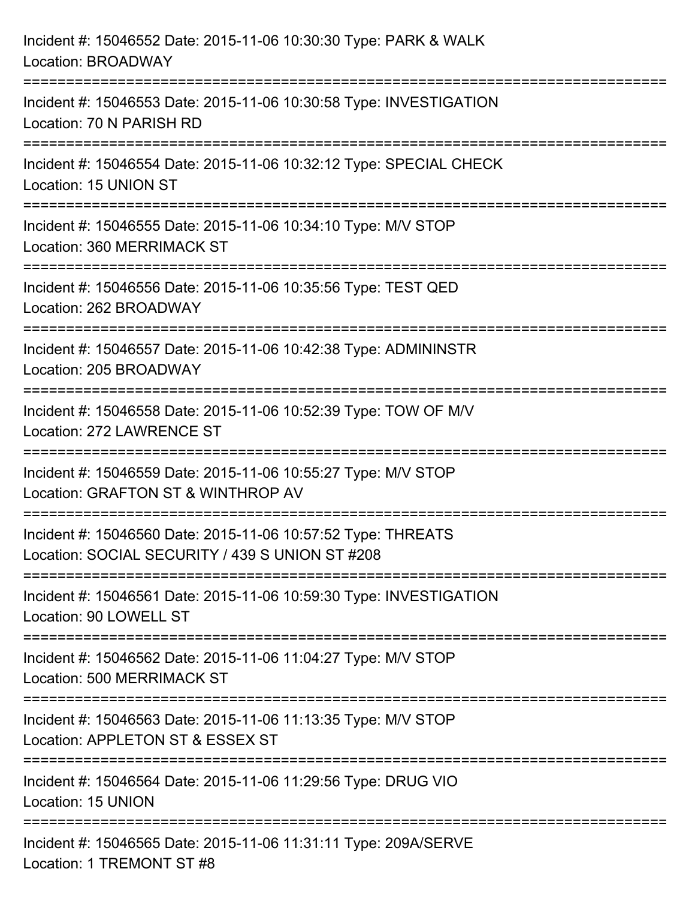| Incident #: 15046552 Date: 2015-11-06 10:30:30 Type: PARK & WALK<br>Location: BROADWAY                                                  |
|-----------------------------------------------------------------------------------------------------------------------------------------|
| ==================================<br>Incident #: 15046553 Date: 2015-11-06 10:30:58 Type: INVESTIGATION<br>Location: 70 N PARISH RD    |
| Incident #: 15046554 Date: 2015-11-06 10:32:12 Type: SPECIAL CHECK<br>Location: 15 UNION ST<br>:===============================         |
| Incident #: 15046555 Date: 2015-11-06 10:34:10 Type: M/V STOP<br>Location: 360 MERRIMACK ST<br>====================<br>---------------- |
| Incident #: 15046556 Date: 2015-11-06 10:35:56 Type: TEST QED<br>Location: 262 BROADWAY                                                 |
| Incident #: 15046557 Date: 2015-11-06 10:42:38 Type: ADMININSTR<br>Location: 205 BROADWAY                                               |
| :====================================<br>Incident #: 15046558 Date: 2015-11-06 10:52:39 Type: TOW OF M/V<br>Location: 272 LAWRENCE ST   |
| Incident #: 15046559 Date: 2015-11-06 10:55:27 Type: M/V STOP<br>Location: GRAFTON ST & WINTHROP AV                                     |
| Incident #: 15046560 Date: 2015-11-06 10:57:52 Type: THREATS<br>Location: SOCIAL SECURITY / 439 S UNION ST #208                         |
| Incident #: 15046561 Date: 2015-11-06 10:59:30 Type: INVESTIGATION<br>Location: 90 LOWELL ST                                            |
| Incident #: 15046562 Date: 2015-11-06 11:04:27 Type: M/V STOP<br><b>Location: 500 MERRIMACK ST</b>                                      |
| Incident #: 15046563 Date: 2015-11-06 11:13:35 Type: M/V STOP<br>Location: APPLETON ST & ESSEX ST                                       |
| Incident #: 15046564 Date: 2015-11-06 11:29:56 Type: DRUG VIO<br>Location: 15 UNION                                                     |
| Incident #: 15046565 Date: 2015-11-06 11:31:11 Type: 209A/SERVE<br>Location: 1 TREMONT ST #8                                            |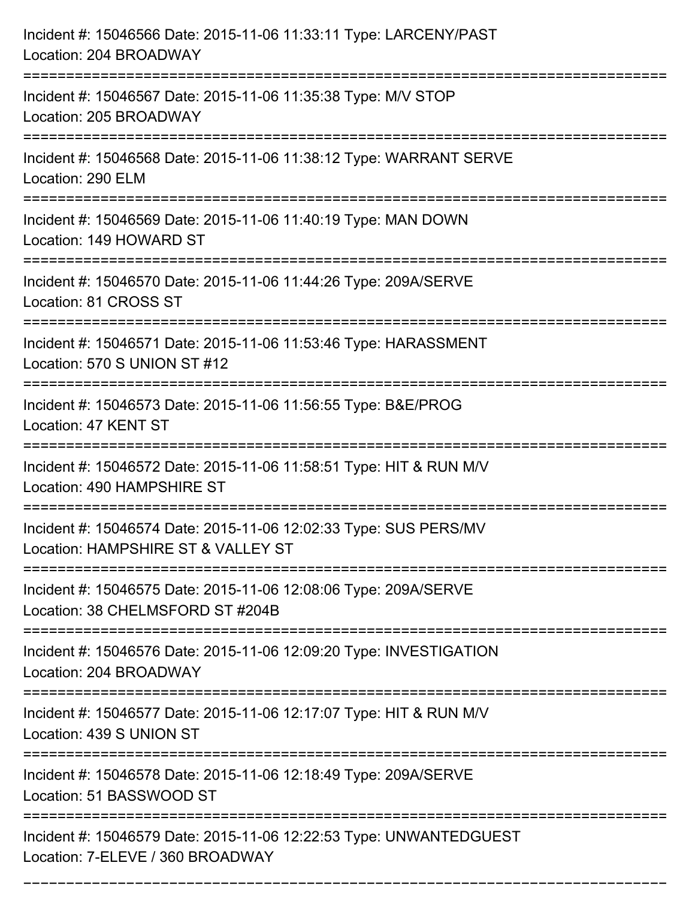| Incident #: 15046566 Date: 2015-11-06 11:33:11 Type: LARCENY/PAST<br>Location: 204 BROADWAY            |
|--------------------------------------------------------------------------------------------------------|
| Incident #: 15046567 Date: 2015-11-06 11:35:38 Type: M/V STOP<br>Location: 205 BROADWAY                |
| Incident #: 15046568 Date: 2015-11-06 11:38:12 Type: WARRANT SERVE<br>Location: 290 ELM                |
| Incident #: 15046569 Date: 2015-11-06 11:40:19 Type: MAN DOWN<br>Location: 149 HOWARD ST               |
| Incident #: 15046570 Date: 2015-11-06 11:44:26 Type: 209A/SERVE<br>Location: 81 CROSS ST               |
| Incident #: 15046571 Date: 2015-11-06 11:53:46 Type: HARASSMENT<br>Location: 570 S UNION ST #12        |
| Incident #: 15046573 Date: 2015-11-06 11:56:55 Type: B&E/PROG<br>Location: 47 KENT ST                  |
| Incident #: 15046572 Date: 2015-11-06 11:58:51 Type: HIT & RUN M/V<br>Location: 490 HAMPSHIRE ST       |
| Incident #: 15046574 Date: 2015-11-06 12:02:33 Type: SUS PERS/MV<br>Location: HAMPSHIRE ST & VALLEY ST |
| Incident #: 15046575 Date: 2015-11-06 12:08:06 Type: 209A/SERVE<br>Location: 38 CHELMSFORD ST #204B    |
| Incident #: 15046576 Date: 2015-11-06 12:09:20 Type: INVESTIGATION<br>Location: 204 BROADWAY           |
| Incident #: 15046577 Date: 2015-11-06 12:17:07 Type: HIT & RUN M/V<br>Location: 439 S UNION ST         |
| Incident #: 15046578 Date: 2015-11-06 12:18:49 Type: 209A/SERVE<br>Location: 51 BASSWOOD ST            |
| Incident #: 15046579 Date: 2015-11-06 12:22:53 Type: UNWANTEDGUEST<br>Location: 7-ELEVE / 360 BROADWAY |

===========================================================================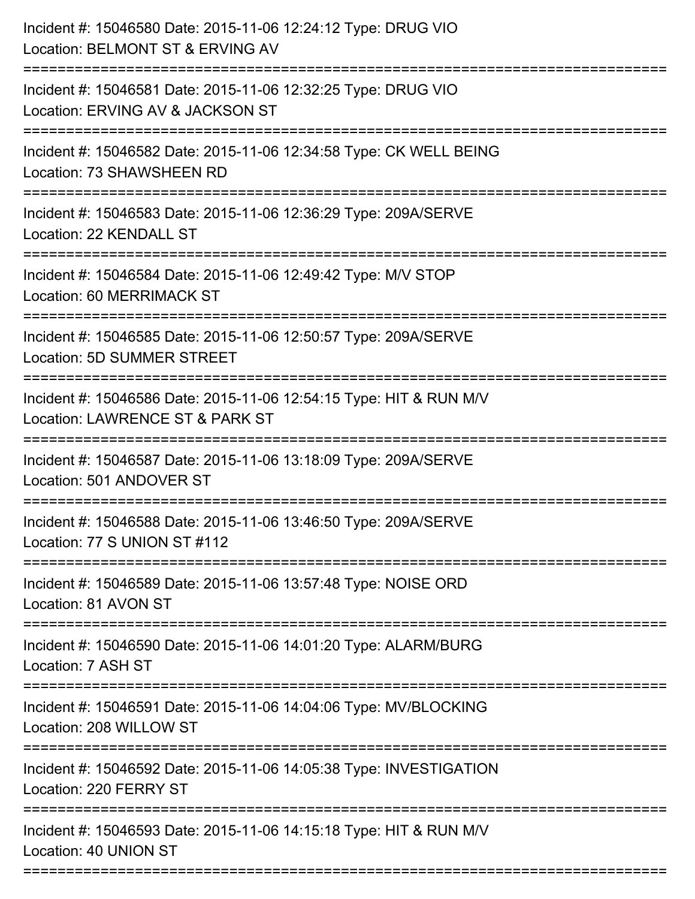| Incident #: 15046580 Date: 2015-11-06 12:24:12 Type: DRUG VIO<br>Location: BELMONT ST & ERVING AV<br>========================         |
|---------------------------------------------------------------------------------------------------------------------------------------|
| Incident #: 15046581 Date: 2015-11-06 12:32:25 Type: DRUG VIO<br>Location: ERVING AV & JACKSON ST                                     |
| Incident #: 15046582 Date: 2015-11-06 12:34:58 Type: CK WELL BEING<br>Location: 73 SHAWSHEEN RD<br>================================== |
| Incident #: 15046583 Date: 2015-11-06 12:36:29 Type: 209A/SERVE<br>Location: 22 KENDALL ST                                            |
| Incident #: 15046584 Date: 2015-11-06 12:49:42 Type: M/V STOP<br>Location: 60 MERRIMACK ST                                            |
| Incident #: 15046585 Date: 2015-11-06 12:50:57 Type: 209A/SERVE<br><b>Location: 5D SUMMER STREET</b>                                  |
| Incident #: 15046586 Date: 2015-11-06 12:54:15 Type: HIT & RUN M/V<br>Location: LAWRENCE ST & PARK ST                                 |
| Incident #: 15046587 Date: 2015-11-06 13:18:09 Type: 209A/SERVE<br>Location: 501 ANDOVER ST                                           |
| Incident #: 15046588 Date: 2015-11-06 13:46:50 Type: 209A/SERVE<br>Location: 77 S UNION ST #112                                       |
| Incident #: 15046589 Date: 2015-11-06 13:57:48 Type: NOISE ORD<br>Location: 81 AVON ST                                                |
| Incident #: 15046590 Date: 2015-11-06 14:01:20 Type: ALARM/BURG<br>Location: 7 ASH ST                                                 |
| Incident #: 15046591 Date: 2015-11-06 14:04:06 Type: MV/BLOCKING<br>Location: 208 WILLOW ST                                           |
| Incident #: 15046592 Date: 2015-11-06 14:05:38 Type: INVESTIGATION<br>Location: 220 FERRY ST                                          |
| Incident #: 15046593 Date: 2015-11-06 14:15:18 Type: HIT & RUN M/V<br>Location: 40 UNION ST                                           |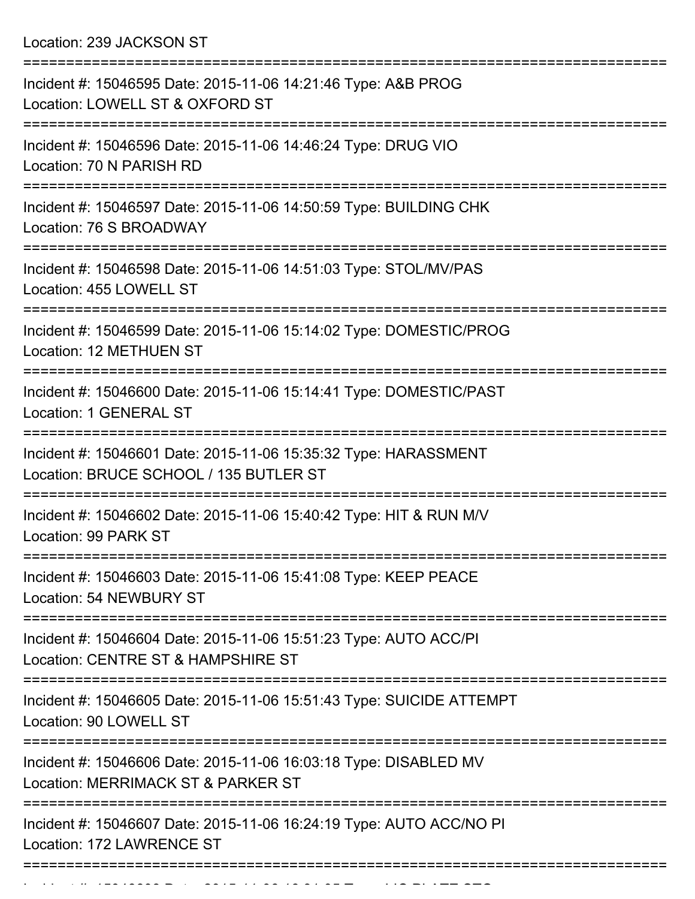Location: 239 JACKSON ST

| Incident #: 15046595 Date: 2015-11-06 14:21:46 Type: A&B PROG<br>Location: LOWELL ST & OXFORD ST                              |
|-------------------------------------------------------------------------------------------------------------------------------|
| Incident #: 15046596 Date: 2015-11-06 14:46:24 Type: DRUG VIO<br>Location: 70 N PARISH RD                                     |
| Incident #: 15046597 Date: 2015-11-06 14:50:59 Type: BUILDING CHK<br>Location: 76 S BROADWAY                                  |
| Incident #: 15046598 Date: 2015-11-06 14:51:03 Type: STOL/MV/PAS<br>Location: 455 LOWELL ST                                   |
| Incident #: 15046599 Date: 2015-11-06 15:14:02 Type: DOMESTIC/PROG<br><b>Location: 12 METHUEN ST</b>                          |
| Incident #: 15046600 Date: 2015-11-06 15:14:41 Type: DOMESTIC/PAST<br><b>Location: 1 GENERAL ST</b>                           |
| Incident #: 15046601 Date: 2015-11-06 15:35:32 Type: HARASSMENT<br>Location: BRUCE SCHOOL / 135 BUTLER ST                     |
| Incident #: 15046602 Date: 2015-11-06 15:40:42 Type: HIT & RUN M/V<br>Location: 99 PARK ST                                    |
| Incident #: 15046603 Date: 2015-11-06 15:41:08 Type: KEEP PEACE<br>Location: 54 NEWBURY ST                                    |
| ===================<br>Incident #: 15046604 Date: 2015-11-06 15:51:23 Type: AUTO ACC/PI<br>Location: CENTRE ST & HAMPSHIRE ST |
| Incident #: 15046605 Date: 2015-11-06 15:51:43 Type: SUICIDE ATTEMPT<br>Location: 90 LOWELL ST                                |
| Incident #: 15046606 Date: 2015-11-06 16:03:18 Type: DISABLED MV<br>Location: MERRIMACK ST & PARKER ST                        |
| Incident #: 15046607 Date: 2015-11-06 16:24:19 Type: AUTO ACC/NO PI<br>Location: 172 LAWRENCE ST                              |
|                                                                                                                               |

Incident #: 15046608 Date: 2015 11 06 16:31:05 Type: LIC PLATE STO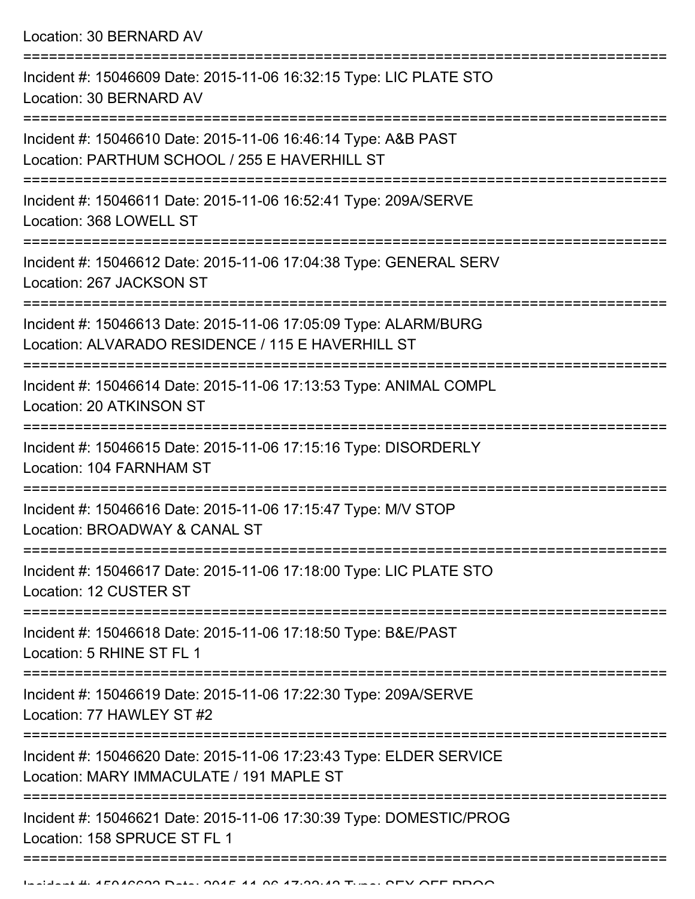Location: 30 BERNARD AV

| Incident #: 15046609 Date: 2015-11-06 16:32:15 Type: LIC PLATE STO<br>Location: 30 BERNARD AV                          |
|------------------------------------------------------------------------------------------------------------------------|
| Incident #: 15046610 Date: 2015-11-06 16:46:14 Type: A&B PAST<br>Location: PARTHUM SCHOOL / 255 E HAVERHILL ST         |
| Incident #: 15046611 Date: 2015-11-06 16:52:41 Type: 209A/SERVE<br>Location: 368 LOWELL ST                             |
| Incident #: 15046612 Date: 2015-11-06 17:04:38 Type: GENERAL SERV<br>Location: 267 JACKSON ST                          |
| Incident #: 15046613 Date: 2015-11-06 17:05:09 Type: ALARM/BURG<br>Location: ALVARADO RESIDENCE / 115 E HAVERHILL ST   |
| Incident #: 15046614 Date: 2015-11-06 17:13:53 Type: ANIMAL COMPL<br>Location: 20 ATKINSON ST                          |
| Incident #: 15046615 Date: 2015-11-06 17:15:16 Type: DISORDERLY<br>Location: 104 FARNHAM ST                            |
| Incident #: 15046616 Date: 2015-11-06 17:15:47 Type: M/V STOP<br>Location: BROADWAY & CANAL ST                         |
| Incident #: 15046617 Date: 2015-11-06 17:18:00 Type: LIC PLATE STO<br>Location: 12 CUSTER ST<br>-----------------      |
| Incident #: 15046618 Date: 2015-11-06 17:18:50 Type: B&E/PAST<br>Location: 5 RHINE ST FL 1                             |
| Incident #: 15046619 Date: 2015-11-06 17:22:30 Type: 209A/SERVE<br>Location: 77 HAWLEY ST #2<br>:===================== |
| Incident #: 15046620 Date: 2015-11-06 17:23:43 Type: ELDER SERVICE<br>Location: MARY IMMACULATE / 191 MAPLE ST         |
| Incident #: 15046621 Date: 2015-11-06 17:30:39 Type: DOMESTIC/PROG<br>Location: 158 SPRUCE ST FL 1                     |
|                                                                                                                        |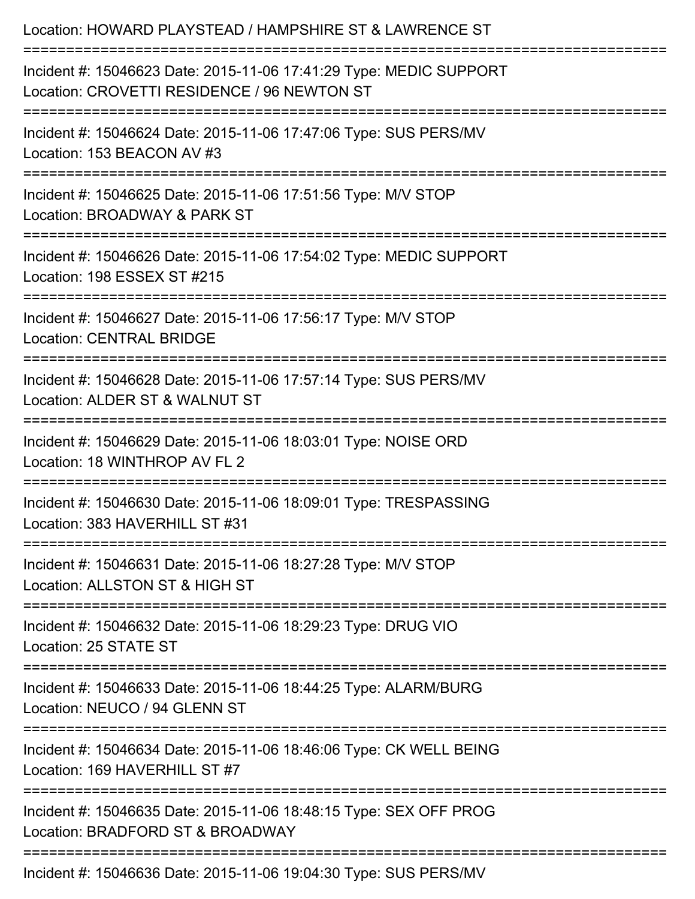| Location: HOWARD PLAYSTEAD / HAMPSHIRE ST & LAWRENCE ST<br>==================================<br>========================                                                                           |
|-----------------------------------------------------------------------------------------------------------------------------------------------------------------------------------------------------|
| Incident #: 15046623 Date: 2015-11-06 17:41:29 Type: MEDIC SUPPORT<br>Location: CROVETTI RESIDENCE / 96 NEWTON ST<br>======================================<br>==================================== |
| Incident #: 15046624 Date: 2015-11-06 17:47:06 Type: SUS PERS/MV<br>Location: 153 BEACON AV #3                                                                                                      |
| Incident #: 15046625 Date: 2015-11-06 17:51:56 Type: M/V STOP<br>Location: BROADWAY & PARK ST<br>=======================                                                                            |
| Incident #: 15046626 Date: 2015-11-06 17:54:02 Type: MEDIC SUPPORT<br>Location: 198 ESSEX ST #215                                                                                                   |
| Incident #: 15046627 Date: 2015-11-06 17:56:17 Type: M/V STOP<br><b>Location: CENTRAL BRIDGE</b>                                                                                                    |
| Incident #: 15046628 Date: 2015-11-06 17:57:14 Type: SUS PERS/MV<br>Location: ALDER ST & WALNUT ST                                                                                                  |
| Incident #: 15046629 Date: 2015-11-06 18:03:01 Type: NOISE ORD<br>Location: 18 WINTHROP AV FL 2                                                                                                     |
| Incident #: 15046630 Date: 2015-11-06 18:09:01 Type: TRESPASSING<br>Location: 383 HAVERHILL ST #31                                                                                                  |
| Incident #: 15046631 Date: 2015-11-06 18:27:28 Type: M/V STOP<br>Location: ALLSTON ST & HIGH ST                                                                                                     |
| Incident #: 15046632 Date: 2015-11-06 18:29:23 Type: DRUG VIO<br>Location: 25 STATE ST                                                                                                              |
| Incident #: 15046633 Date: 2015-11-06 18:44:25 Type: ALARM/BURG<br>Location: NEUCO / 94 GLENN ST                                                                                                    |
| Incident #: 15046634 Date: 2015-11-06 18:46:06 Type: CK WELL BEING<br>Location: 169 HAVERHILL ST #7                                                                                                 |
| Incident #: 15046635 Date: 2015-11-06 18:48:15 Type: SEX OFF PROG<br>Location: BRADFORD ST & BROADWAY                                                                                               |
| Incident #: 15046636 Date: 2015-11-06 19:04:30 Type: SUS PERS/MV                                                                                                                                    |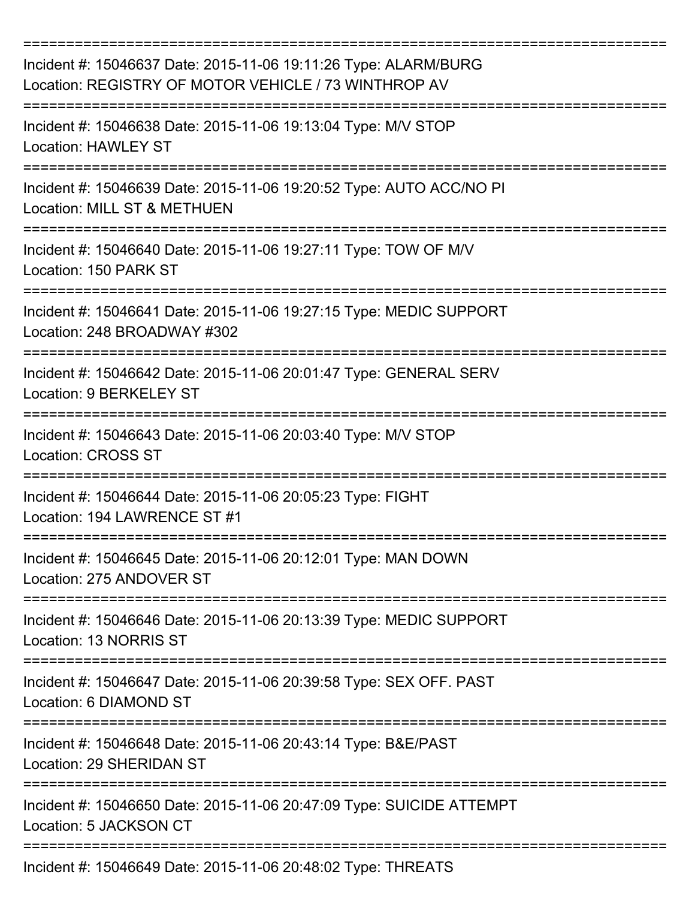| Incident #: 15046637 Date: 2015-11-06 19:11:26 Type: ALARM/BURG<br>Location: REGISTRY OF MOTOR VEHICLE / 73 WINTHROP AV |
|-------------------------------------------------------------------------------------------------------------------------|
| Incident #: 15046638 Date: 2015-11-06 19:13:04 Type: M/V STOP<br>Location: HAWLEY ST                                    |
| Incident #: 15046639 Date: 2015-11-06 19:20:52 Type: AUTO ACC/NO PI<br>Location: MILL ST & METHUEN                      |
| Incident #: 15046640 Date: 2015-11-06 19:27:11 Type: TOW OF M/V<br>Location: 150 PARK ST                                |
| Incident #: 15046641 Date: 2015-11-06 19:27:15 Type: MEDIC SUPPORT<br>Location: 248 BROADWAY #302                       |
| Incident #: 15046642 Date: 2015-11-06 20:01:47 Type: GENERAL SERV<br>Location: 9 BERKELEY ST                            |
| Incident #: 15046643 Date: 2015-11-06 20:03:40 Type: M/V STOP<br><b>Location: CROSS ST</b>                              |
| Incident #: 15046644 Date: 2015-11-06 20:05:23 Type: FIGHT<br>Location: 194 LAWRENCE ST #1                              |
| Incident #: 15046645 Date: 2015-11-06 20:12:01 Type: MAN DOWN<br>Location: 275 ANDOVER ST                               |
| Incident #: 15046646 Date: 2015-11-06 20:13:39 Type: MEDIC SUPPORT<br>Location: 13 NORRIS ST                            |
| Incident #: 15046647 Date: 2015-11-06 20:39:58 Type: SEX OFF. PAST<br>Location: 6 DIAMOND ST                            |
| Incident #: 15046648 Date: 2015-11-06 20:43:14 Type: B&E/PAST<br>Location: 29 SHERIDAN ST                               |
| Incident #: 15046650 Date: 2015-11-06 20:47:09 Type: SUICIDE ATTEMPT<br>Location: 5 JACKSON CT                          |
| Incident #: 15046649 Date: 2015-11-06 20:48:02 Type: THREATS                                                            |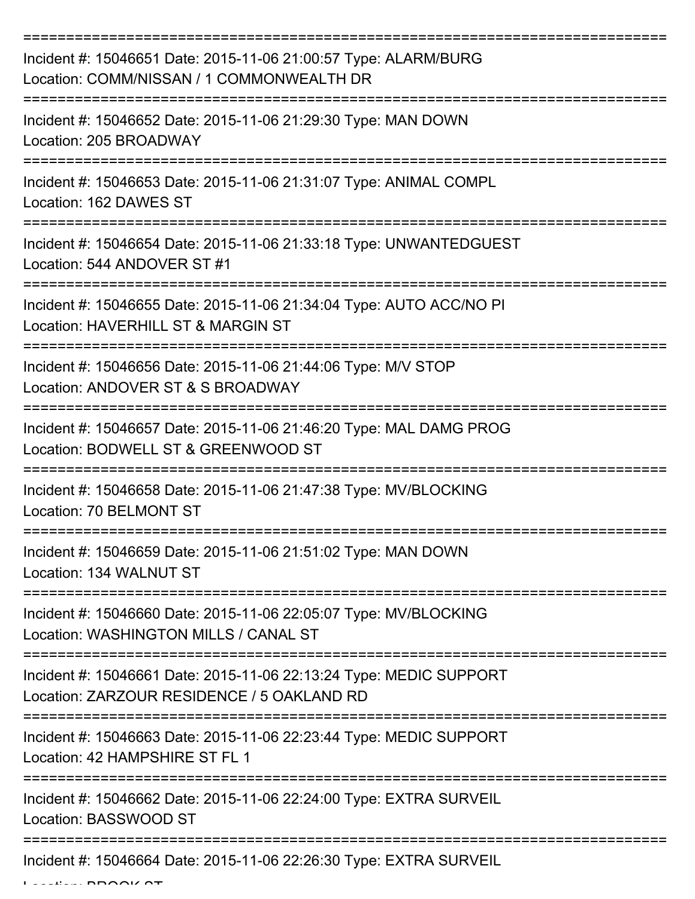| Incident #: 15046651 Date: 2015-11-06 21:00:57 Type: ALARM/BURG<br>Location: COMM/NISSAN / 1 COMMONWEALTH DR                    |
|---------------------------------------------------------------------------------------------------------------------------------|
| Incident #: 15046652 Date: 2015-11-06 21:29:30 Type: MAN DOWN<br>Location: 205 BROADWAY                                         |
| Incident #: 15046653 Date: 2015-11-06 21:31:07 Type: ANIMAL COMPL<br>Location: 162 DAWES ST                                     |
| Incident #: 15046654 Date: 2015-11-06 21:33:18 Type: UNWANTEDGUEST<br>Location: 544 ANDOVER ST #1                               |
| Incident #: 15046655 Date: 2015-11-06 21:34:04 Type: AUTO ACC/NO PI<br>Location: HAVERHILL ST & MARGIN ST                       |
| Incident #: 15046656 Date: 2015-11-06 21:44:06 Type: M/V STOP<br>Location: ANDOVER ST & S BROADWAY                              |
| Incident #: 15046657 Date: 2015-11-06 21:46:20 Type: MAL DAMG PROG<br>Location: BODWELL ST & GREENWOOD ST                       |
| Incident #: 15046658 Date: 2015-11-06 21:47:38 Type: MV/BLOCKING<br>Location: 70 BELMONT ST                                     |
| Incident #: 15046659 Date: 2015-11-06 21:51:02 Type: MAN DOWN<br>Location: 134 WALNUT ST                                        |
| ==================<br>Incident #: 15046660 Date: 2015-11-06 22:05:07 Type: MV/BLOCKING<br>Location: WASHINGTON MILLS / CANAL ST |
| Incident #: 15046661 Date: 2015-11-06 22:13:24 Type: MEDIC SUPPORT<br>Location: ZARZOUR RESIDENCE / 5 OAKLAND RD                |
| Incident #: 15046663 Date: 2015-11-06 22:23:44 Type: MEDIC SUPPORT<br>Location: 42 HAMPSHIRE ST FL 1                            |
| Incident #: 15046662 Date: 2015-11-06 22:24:00 Type: EXTRA SURVEIL<br>Location: BASSWOOD ST                                     |
| ------------------<br>Incident #: 15046664 Date: 2015-11-06 22:26:30 Type: EXTRA SURVEIL                                        |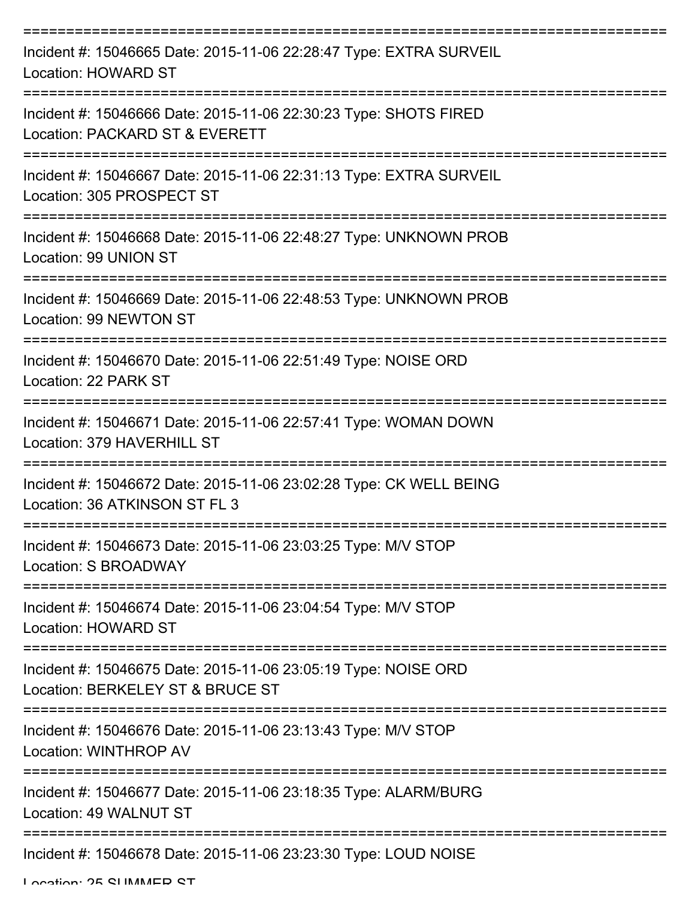| Incident #: 15046665 Date: 2015-11-06 22:28:47 Type: EXTRA SURVEIL<br><b>Location: HOWARD ST</b>    |
|-----------------------------------------------------------------------------------------------------|
| Incident #: 15046666 Date: 2015-11-06 22:30:23 Type: SHOTS FIRED<br>Location: PACKARD ST & EVERETT  |
| Incident #: 15046667 Date: 2015-11-06 22:31:13 Type: EXTRA SURVEIL<br>Location: 305 PROSPECT ST     |
| Incident #: 15046668 Date: 2015-11-06 22:48:27 Type: UNKNOWN PROB<br>Location: 99 UNION ST          |
| Incident #: 15046669 Date: 2015-11-06 22:48:53 Type: UNKNOWN PROB<br>Location: 99 NEWTON ST         |
| Incident #: 15046670 Date: 2015-11-06 22:51:49 Type: NOISE ORD<br>Location: 22 PARK ST              |
| Incident #: 15046671 Date: 2015-11-06 22:57:41 Type: WOMAN DOWN<br>Location: 379 HAVERHILL ST       |
| Incident #: 15046672 Date: 2015-11-06 23:02:28 Type: CK WELL BEING<br>Location: 36 ATKINSON ST FL 3 |
| Incident #: 15046673 Date: 2015-11-06 23:03:25 Type: M/V STOP<br>Location: S BROADWAY               |
| Incident #: 15046674 Date: 2015-11-06 23:04:54 Type: M/V STOP<br><b>Location: HOWARD ST</b>         |
| Incident #: 15046675 Date: 2015-11-06 23:05:19 Type: NOISE ORD<br>Location: BERKELEY ST & BRUCE ST  |
| Incident #: 15046676 Date: 2015-11-06 23:13:43 Type: M/V STOP<br>Location: WINTHROP AV              |
| Incident #: 15046677 Date: 2015-11-06 23:18:35 Type: ALARM/BURG<br>Location: 49 WALNUT ST           |
| Incident #: 15046678 Date: 2015-11-06 23:23:30 Type: LOUD NOISE                                     |